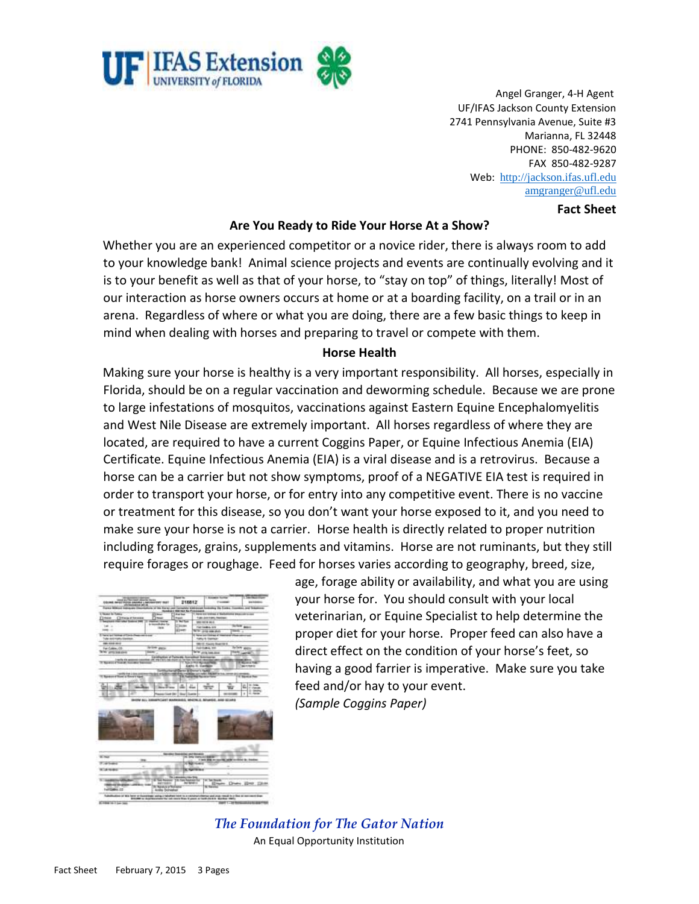

Angel Granger, 4-H Agent UF/IFAS Jackson County Extension 2741 Pennsylvania Avenue, Suite #3 Marianna, FL 32448 PHONE: 850-482-9620 FAX 850-482-9287 Web: [http://jackson.ifas.ufl.edu](http://jackson.ifas.ufl.edu/) [amgranger@ufl.edu](mailto:amgranger@ufl.edu)

#### **Fact Sheet**

### **Are You Ready to Ride Your Horse At a Show?**

Whether you are an experienced competitor or a novice rider, there is always room to add to your knowledge bank! Animal science projects and events are continually evolving and it is to your benefit as well as that of your horse, to "stay on top" of things, literally! Most of our interaction as horse owners occurs at home or at a boarding facility, on a trail or in an arena. Regardless of where or what you are doing, there are a few basic things to keep in mind when dealing with horses and preparing to travel or compete with them.

### **Horse Health**

Making sure your horse is healthy is a very important responsibility. All horses, especially in Florida, should be on a regular vaccination and deworming schedule. Because we are prone to large infestations of mosquitos, vaccinations against Eastern Equine Encephalomyelitis and West Nile Disease are extremely important. All horses regardless of where they are located, are required to have a current Coggins Paper, or Equine Infectious Anemia (EIA) Certificate. Equine Infectious Anemia (EIA) is a viral disease and is a retrovirus. Because a horse can be a carrier but not show symptoms, proof of a NEGATIVE EIA test is required in order to transport your horse, or for entry into any competitive event. There is no vaccine or treatment for this disease, so you don't want your horse exposed to it, and you need to make sure your horse is not a carrier. Horse health is directly related to proper nutrition including forages, grains, supplements and vitamins. Horse are not ruminants, but they still require forages or roughage. Feed for horses varies according to geography, breed, size,

| <b>We can expect the company</b><br>Educated: ANDET TROOPS ANALISIA LINKCOMPONER VILLET<br>UNITARISMENT DE 18 |                                                                                                     | <b>Thomas Fran</b><br>216812                              |                                                                          | I <b>Kingdom Russian</b><br><b>Former</b> |                                              | <b>Big Roberts</b>                                                                     |
|---------------------------------------------------------------------------------------------------------------|-----------------------------------------------------------------------------------------------------|-----------------------------------------------------------|--------------------------------------------------------------------------|-------------------------------------------|----------------------------------------------|----------------------------------------------------------------------------------------|
| France Millered Astropolis In                                                                                 |                                                                                                     |                                                           |                                                                          |                                           |                                              | in or the Horaz car Complete washington fundating the Eastern Countries, and Telephone |
| L'Asser la Tuesa                                                                                              | <b>COMM</b>                                                                                         | <b>Back Warrant for Frenchment</b><br><b>Called State</b> |                                                                          |                                           | There are broken at National and control and |                                                                                        |
| <b>Jime (Jimesthoses</b>                                                                                      | $=$                                                                                                 | <b>Francis</b>                                            |                                                                          | Translate translate interesting           |                                              |                                                                                        |
| <b>CONTRACTOR</b><br>п                                                                                        |                                                                                                     | <b>COL</b>                                                |                                                                          | WHO RATIN BE AT                           |                                              |                                                                                        |
| both in                                                                                                       | is monothern for<br><b>TRIM</b>                                                                     | <b>Chican</b>                                             |                                                                          | <b>THE SAMUL SIX</b>                      |                                              | <b>SCREW MANA</b>                                                                      |
| <b>Inch</b>                                                                                                   |                                                                                                     | <b>Allment</b>                                            |                                                                          | <b>Tomac</b><br><b>SEA UNION STATE</b>    |                                              |                                                                                        |
| I have set home of thrin them on those<br>Tube doll Kally Cardler.                                            |                                                                                                     |                                                           | <b>E ferrer and Editions of A</b><br><b>FRANCISCO</b><br>nature instruct |                                           |                                              |                                                                                        |
| <b>BELIEVE HOLD</b>                                                                                           |                                                                                                     |                                                           | <b>SRAW Flashing Board Hart E.</b>                                       |                                           |                                              |                                                                                        |
| <b>PETER WALL</b><br>Fan Colden, CO                                                                           |                                                                                                     |                                                           |                                                                          | <b>Dall Subrat, 200</b>                   |                                              | <b>British and in</b>                                                                  |
| <b>AUCTIONS</b>                                                                                               |                                                                                                     |                                                           |                                                                          | THE AVE AND IN                            |                                              | TOWN, LANTING                                                                          |
|                                                                                                               | LandAution of Fairle Mc Accountied Skiermanne                                                       |                                                           |                                                                          |                                           |                                              |                                                                                        |
| www.ithing                                                                                                    | a città della chiesa                                                                                |                                                           | <b>Early R. Earlists</b>                                                 |                                           |                                              | <b>Million</b><br><b>MATHEMATIC</b>                                                    |
|                                                                                                               |                                                                                                     | and Carry & Crews 1, India                                |                                                                          |                                           |                                              |                                                                                        |
| 101911-0121-0214                                                                                              |                                                                                                     | GAS PA FREE OF EL 1 HUBBAN LIVE FARE FOR BIFTIN FLA. IN   |                                                                          |                                           |                                              | <b>HE ALL ANNA</b>                                                                     |
| Sedes of Suns a Swert tool                                                                                    |                                                                                                     |                                                           | <b>THE PURCHASE FOR</b>                                                  |                                           |                                              | 11 Second Page                                                                         |
|                                                                                                               |                                                                                                     |                                                           |                                                                          |                                           |                                              | <b>14.000</b>                                                                          |
|                                                                                                               |                                                                                                     |                                                           | <b>Since</b>                                                             |                                           | w                                            | 出版社<br>of theme                                                                        |
|                                                                                                               |                                                                                                     |                                                           |                                                                          |                                           |                                              |                                                                                        |
|                                                                                                               | DHON ALL SWAPPCART WARRANTS, WHO'R.C. BOWER, AND GLARA                                              | <b>Record Copy Did   Boy   Contract</b>                   |                                                                          |                                           | <b><i>DO GEORG</i></b>                       | ×<br>14.4mm                                                                            |
|                                                                                                               |                                                                                                     |                                                           |                                                                          |                                           |                                              |                                                                                        |
| <b>Charles</b>                                                                                                |                                                                                                     | <b>Service Stewarter and Moneys</b>                       | N. Driv very primary                                                     |                                           |                                              |                                                                                        |
| <b>IDEN</b><br><b>The Seats</b>                                                                               |                                                                                                     |                                                           | <b>Charles</b>                                                           |                                           |                                              | 1 lock and recognition address thinks by Analysis.                                     |
| $\sim$                                                                                                        |                                                                                                     |                                                           |                                                                          |                                           | ۰                                            |                                                                                        |
|                                                                                                               |                                                                                                     |                                                           | <b>R NATIONAL</b>                                                        |                                           |                                              |                                                                                        |
| 17.4 10.012<br>$\cdots$<br><b>BASIC AND THE LIFEST</b><br><b>Harry Street</b><br>Fed Control, CO              | W Ted Research T.H. Tues Readment For<br><b>ASTRAGE</b><br><b>B</b> Navel or other<br>Anka Schedule |                                                           | <b><i><u>INFORMED</u></i></b>                                            | The Tax Hegales<br><b>KD</b> Hardman      |                                              | Dies Bergham                                                                           |

age, forage ability or availability, and what you are using your horse for. You should consult with your local veterinarian, or Equine Specialist to help determine the proper diet for your horse. Proper feed can also have a direct effect on the condition of your horse's feet, so having a good farrier is imperative. Make sure you take feed and/or hay to your event.

*(Sample Coggins Paper)*

*The Foundation for The Gator Nation*  An Equal Opportunity Institution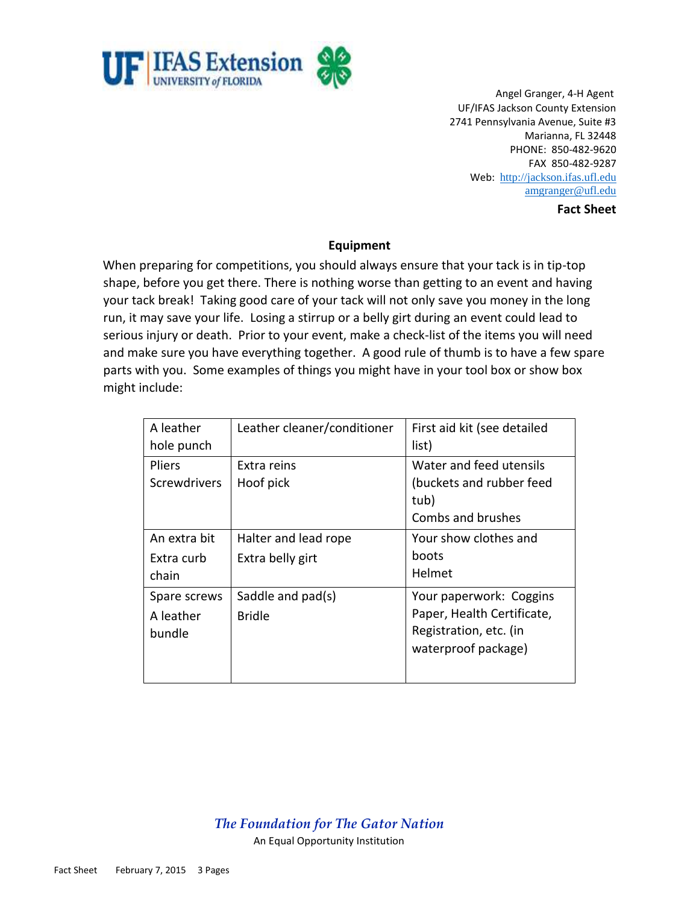

Angel Granger, 4-H Agent UF/IFAS Jackson County Extension 2741 Pennsylvania Avenue, Suite #3 Marianna, FL 32448 PHONE: 850-482-9620 FAX 850-482-9287 Web: [http://jackson.ifas.ufl.edu](http://jackson.ifas.ufl.edu/) [amgranger@ufl.edu](mailto:amgranger@ufl.edu)

**Fact Sheet**

### **Equipment**

When preparing for competitions, you should always ensure that your tack is in tip-top shape, before you get there. There is nothing worse than getting to an event and having your tack break! Taking good care of your tack will not only save you money in the long run, it may save your life. Losing a stirrup or a belly girt during an event could lead to serious injury or death. Prior to your event, make a check-list of the items you will need and make sure you have everything together. A good rule of thumb is to have a few spare parts with you. Some examples of things you might have in your tool box or show box might include:

| A leather<br>hole punch              | Leather cleaner/conditioner              | First aid kit (see detailed<br>list)                                                                   |
|--------------------------------------|------------------------------------------|--------------------------------------------------------------------------------------------------------|
| <b>Pliers</b><br><b>Screwdrivers</b> | Extra reins<br>Hoof pick                 | Water and feed utensils<br>(buckets and rubber feed<br>tub)<br>Combs and brushes                       |
| An extra bit<br>Extra curb<br>chain  | Halter and lead rope<br>Extra belly girt | Your show clothes and<br>boots<br>Helmet                                                               |
| Spare screws<br>A leather<br>bundle  | Saddle and pad(s)<br><b>Bridle</b>       | Your paperwork: Coggins<br>Paper, Health Certificate,<br>Registration, etc. (in<br>waterproof package) |

### *The Foundation for The Gator Nation*  An Equal Opportunity Institution